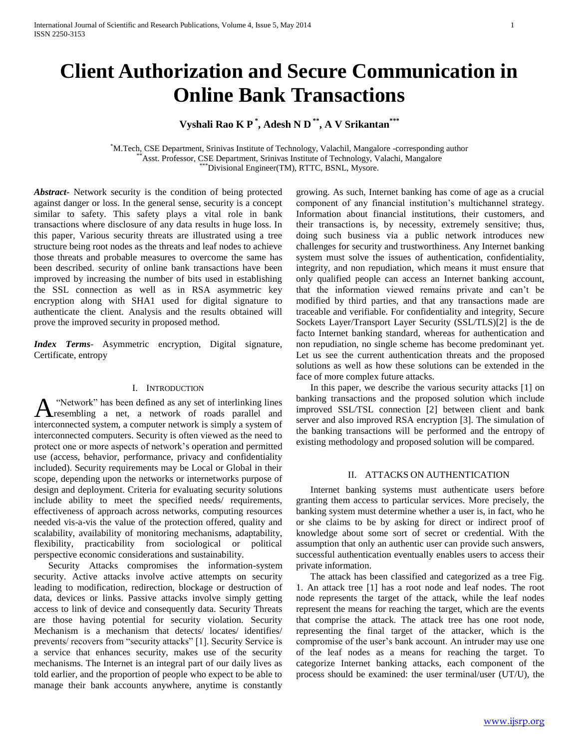# **Client Authorization and Secure Communication in Online Bank Transactions**

## **Vyshali Rao K P \* , Adesh N D \*\*, A V Srikantan\*\*\***

\*M.Tech, CSE Department, Srinivas Institute of Technology, Valachil, Mangalore -corresponding author Asst. Professor, CSE Department, Srinivas Institute of Technology, Valachi, Mangalore  $*$ Divisional Engineer(TM), RTTC, BSNL, Mysore.

*Abstract***-** Network security is the condition of being protected against danger or loss. In the general sense, security is a concept similar to safety. This safety plays a vital role in bank transactions where disclosure of any data results in huge loss. In this paper, Various security threats are illustrated using a tree structure being root nodes as the threats and leaf nodes to achieve those threats and probable measures to overcome the same has been described. security of online bank transactions have been improved by increasing the number of bits used in establishing the SSL connection as well as in RSA asymmetric key encryption along with SHA1 used for digital signature to authenticate the client. Analysis and the results obtained will prove the improved security in proposed method.

*Index Terms*- Asymmetric encryption, Digital signature, Certificate, entropy

## I. INTRODUCTION

"Network" has been defined as any set of interlinking lines resembling a net, a network of roads parallel and interconnected system, a computer network is simply a system of interconnected computers. Security is often viewed as the need to protect one or more aspects of network's operation and permitted use (access, behavior, performance, privacy and confidentiality included). Security requirements may be Local or Global in their scope, depending upon the networks or internetworks purpose of design and deployment. Criteria for evaluating security solutions include ability to meet the specified needs/ requirements, effectiveness of approach across networks, computing resources needed vis-a-vis the value of the protection offered, quality and scalability, availability of monitoring mechanisms, adaptability, flexibility, practicability from sociological or political perspective economic considerations and sustainability. A

 Security Attacks compromises the information-system security. Active attacks involve active attempts on security leading to modification, redirection, blockage or destruction of data, devices or links. Passive attacks involve simply getting access to link of device and consequently data. Security Threats are those having potential for security violation. Security Mechanism is a mechanism that detects/ locates/ identifies/ prevents/ recovers from "security attacks" [1]. Security Service is a service that enhances security, makes use of the security mechanisms. The Internet is an integral part of our daily lives as told earlier, and the proportion of people who expect to be able to manage their bank accounts anywhere, anytime is constantly

growing. As such, Internet banking has come of age as a crucial component of any financial institution's multichannel strategy. Information about financial institutions, their customers, and their transactions is, by necessity, extremely sensitive; thus, doing such business via a public network introduces new challenges for security and trustworthiness. Any Internet banking system must solve the issues of authentication, confidentiality, integrity, and non repudiation, which means it must ensure that only qualified people can access an Internet banking account, that the information viewed remains private and can't be modified by third parties, and that any transactions made are traceable and verifiable. For confidentiality and integrity, Secure Sockets Layer/Transport Layer Security (SSL/TLS)[2] is the de facto Internet banking standard, whereas for authentication and non repudiation, no single scheme has become predominant yet. Let us see the current authentication threats and the proposed solutions as well as how these solutions can be extended in the face of more complex future attacks.

 In this paper, we describe the various security attacks [1] on banking transactions and the proposed solution which include improved SSL/TSL connection [2] between client and bank server and also improved RSA encryption [3]. The simulation of the banking transactions will be performed and the entropy of existing methodology and proposed solution will be compared.

## II. ATTACKS ON AUTHENTICATION

 Internet banking systems must authenticate users before granting them access to particular services. More precisely, the banking system must determine whether a user is, in fact, who he or she claims to be by asking for direct or indirect proof of knowledge about some sort of secret or credential. With the assumption that only an authentic user can provide such answers, successful authentication eventually enables users to access their private information.

 The attack has been classified and categorized as a tree Fig. 1. An attack tree [1] has a root node and leaf nodes. The root node represents the target of the attack, while the leaf nodes represent the means for reaching the target, which are the events that comprise the attack. The attack tree has one root node, representing the final target of the attacker, which is the compromise of the user's bank account. An intruder may use one of the leaf nodes as a means for reaching the target. To categorize Internet banking attacks, each component of the process should be examined: the user terminal/user (UT/U), the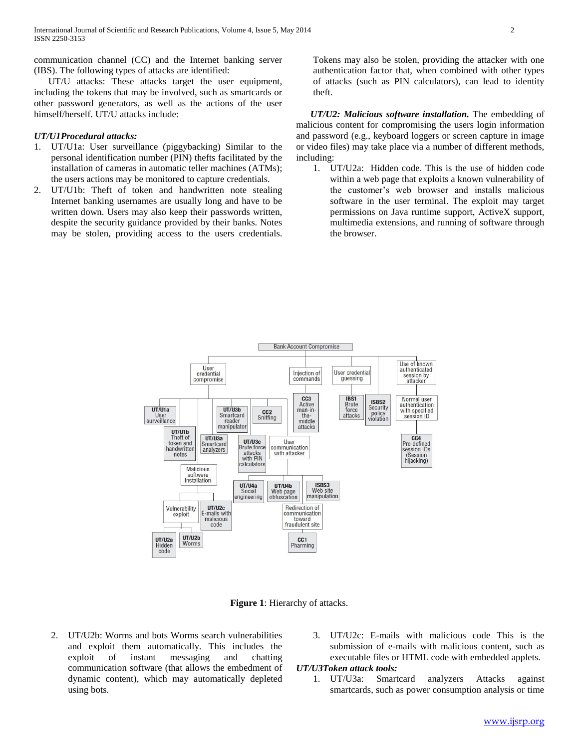communication channel (CC) and the Internet banking server (IBS). The following types of attacks are identified:

 UT/U attacks: These attacks target the user equipment, including the tokens that may be involved, such as smartcards or other password generators, as well as the actions of the user himself/herself. UT/U attacks include:

## *UT/U1Procedural attacks:*

- 1. UT/U1a: User surveillance (piggybacking) Similar to the personal identification number (PIN) thefts facilitated by the installation of cameras in automatic teller machines (ATMs); the users actions may be monitored to capture credentials.
- 2. UT/U1b: Theft of token and handwritten note stealing Internet banking usernames are usually long and have to be written down. Users may also keep their passwords written, despite the security guidance provided by their banks. Notes may be stolen, providing access to the users credentials.

Tokens may also be stolen, providing the attacker with one authentication factor that, when combined with other types of attacks (such as PIN calculators), can lead to identity theft.

 *UT/U2: Malicious software installation.* The embedding of malicious content for compromising the users login information and password (e.g., keyboard loggers or screen capture in image or video files) may take place via a number of different methods, including:

1. UT/U2a: Hidden code. This is the use of hidden code within a web page that exploits a known vulnerability of the customer's web browser and installs malicious software in the user terminal. The exploit may target permissions on Java runtime support, ActiveX support, multimedia extensions, and running of software through the browser.



**Figure 1**: Hierarchy of attacks.

- 2. UT/U2b: Worms and bots Worms search vulnerabilities and exploit them automatically. This includes the exploit of instant messaging and chatting communication software (that allows the embedment of dynamic content), which may automatically depleted using bots.
- 3. UT/U2c: E-mails with malicious code This is the submission of e-mails with malicious content, such as executable files or HTML code with embedded applets.

## *UT/U3Token attack tools:*

1. UT/U3a: Smartcard analyzers Attacks against smartcards, such as power consumption analysis or time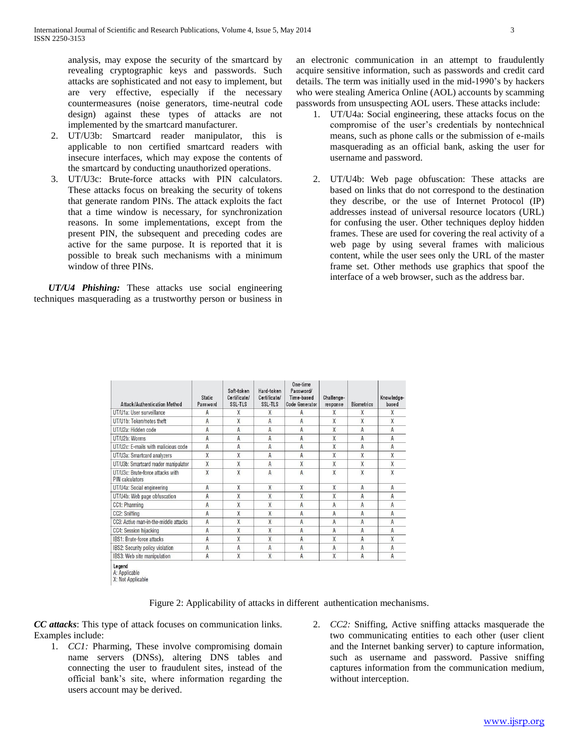analysis, may expose the security of the smartcard by revealing cryptographic keys and passwords. Such attacks are sophisticated and not easy to implement, but are very effective, especially if the necessary countermeasures (noise generators, time-neutral code design) against these types of attacks are not implemented by the smartcard manufacturer.

- 2. UT/U3b: Smartcard reader manipulator, this is applicable to non certified smartcard readers with insecure interfaces, which may expose the contents of the smartcard by conducting unauthorized operations.
- 3. UT/U3c: Brute-force attacks with PIN calculators. These attacks focus on breaking the security of tokens that generate random PINs. The attack exploits the fact that a time window is necessary, for synchronization reasons. In some implementations, except from the present PIN, the subsequent and preceding codes are active for the same purpose. It is reported that it is possible to break such mechanisms with a minimum window of three PINs.

 *UT/U4 Phishing:* These attacks use social engineering techniques masquerading as a trustworthy person or business in an electronic communication in an attempt to fraudulently acquire sensitive information, such as passwords and credit card details. The term was initially used in the mid-1990's by hackers who were stealing America Online (AOL) accounts by scamming passwords from unsuspecting AOL users. These attacks include:

- 1. UT/U4a: Social engineering, these attacks focus on the compromise of the user's credentials by nontechnical means, such as phone calls or the submission of e-mails masquerading as an official bank, asking the user for username and password.
- 2. UT/U4b: Web page obfuscation: These attacks are based on links that do not correspond to the destination they describe, or the use of Internet Protocol (IP) addresses instead of universal resource locators (URL) for confusing the user. Other techniques deploy hidden frames. These are used for covering the real activity of a web page by using several frames with malicious content, while the user sees only the URL of the master frame set. Other methods use graphics that spoof the interface of a web browser, such as the address bar.

| Attack/Authentication Method                               | <b>Static</b><br>Password | Soft-token<br>Certificate/<br>SSL-TLS | Hard-token<br>Certificate/<br>SSL-TLS | One-time<br>Password/<br>Time-based<br><b>Code Generator</b> | Challenge-<br>response | Biometrics | Knowledge-<br>based |
|------------------------------------------------------------|---------------------------|---------------------------------------|---------------------------------------|--------------------------------------------------------------|------------------------|------------|---------------------|
| UT/U1a: User surveillance                                  | А                         | Χ                                     | Χ                                     | А                                                            | X                      | Χ          | X                   |
| UT/U1b: Token/notes theft                                  | A                         | X                                     | A                                     | A                                                            | X                      | X          | X                   |
| UT/U2a: Hidden code                                        | A                         | A                                     | A                                     | A                                                            | X                      | A          | A                   |
| UT/U2b: Worms                                              | A                         | A                                     | A                                     | A                                                            | X                      | A          | Α                   |
| UT/U2c: E-mails with malicious code                        | A                         | A                                     | A                                     | A                                                            | X                      | A          | A                   |
| UT/U3a: Smartcard analyzers                                | X                         | X                                     | A                                     | A                                                            | X                      | X          | X                   |
| UT/U3b: Smartcard reader manipulator                       | X                         | $\overline{X}$                        | A                                     | X                                                            | X                      | X          | X                   |
| UT/U3c: Brute-force attacks with<br><b>PIN</b> calculators | X                         | X                                     | A                                     | $\overline{A}$                                               | X                      | X          | X                   |
| UT/U4a: Social engineering                                 | A                         | X                                     | X                                     | X                                                            | X                      | A          | Α                   |
| UT/U4b: Web page obfuscation                               | $\overline{A}$            | X                                     | X                                     | X                                                            | X                      | A          | A                   |
| CC1: Pharming                                              | A                         | X                                     | X                                     | A                                                            | A                      | A          | A                   |
| CC2: Sniffing                                              | A                         | X                                     | X                                     | A                                                            | A                      | Α          | A                   |
| CC3: Active man-in-the-middle attacks                      | A                         | X                                     | X                                     | A                                                            | A                      | A          | A                   |
| CC4: Session hijacking                                     | A                         | X                                     | X                                     | A                                                            | A                      | A          | A                   |
| IBS1: Brute-force attacks                                  | A                         | X                                     | X                                     | A                                                            | X                      | A          | X                   |
| IBS2: Security policy violation                            | A                         | A                                     | A                                     | A                                                            | A                      | A          | A                   |
| IBS3: Web site manipulation                                | A                         | X                                     | Χ                                     | A                                                            | X                      | A          | A                   |

X: Not Applicable

Figure 2: Applicability of attacks in different authentication mechanisms.

*CC attacks*: This type of attack focuses on communication links. Examples include:

- 1. *CC1:* Pharming, These involve compromising domain name servers (DNSs), altering DNS tables and connecting the user to fraudulent sites, instead of the official bank's site, where information regarding the users account may be derived.
- 2. *CC2:* Sniffing, Active sniffing attacks masquerade the two communicating entities to each other (user client and the Internet banking server) to capture information, such as username and password. Passive sniffing captures information from the communication medium, without interception.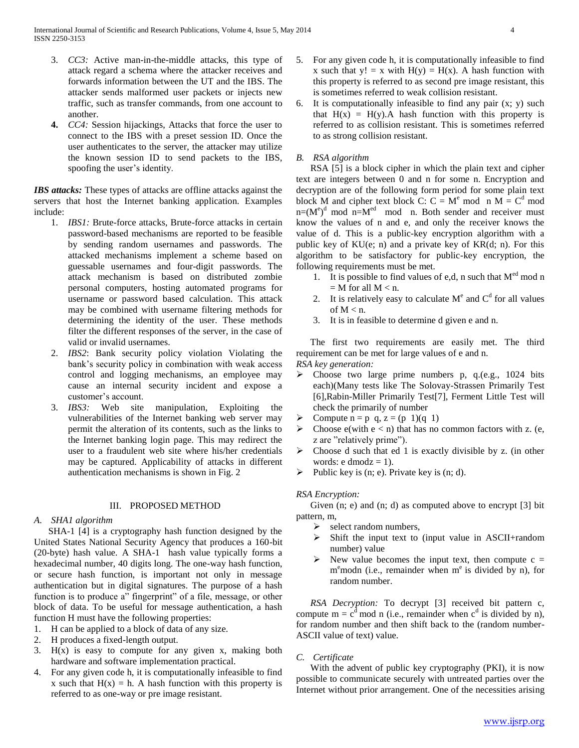- 3. *CC3:* Active man-in-the-middle attacks, this type of attack regard a schema where the attacker receives and forwards information between the UT and the IBS. The attacker sends malformed user packets or injects new traffic, such as transfer commands, from one account to another.
- **4.** *CC4:* Session hijackings, Attacks that force the user to connect to the IBS with a preset session ID. Once the user authenticates to the server, the attacker may utilize the known session ID to send packets to the IBS, spoofing the user's identity.

**IBS attacks:** These types of attacks are offline attacks against the servers that host the Internet banking application. Examples include:

- 1. *IBS1:* Brute-force attacks, Brute-force attacks in certain password-based mechanisms are reported to be feasible by sending random usernames and passwords. The attacked mechanisms implement a scheme based on guessable usernames and four-digit passwords. The attack mechanism is based on distributed zombie personal computers, hosting automated programs for username or password based calculation. This attack may be combined with username filtering methods for determining the identity of the user. These methods filter the different responses of the server, in the case of valid or invalid usernames.
- 2. *IBS2*: Bank security policy violation Violating the bank's security policy in combination with weak access control and logging mechanisms, an employee may cause an internal security incident and expose a customer's account.
- 3. *IBS3:* Web site manipulation, Exploiting the vulnerabilities of the Internet banking web server may permit the alteration of its contents, such as the links to the Internet banking login page. This may redirect the user to a fraudulent web site where his/her credentials may be captured. Applicability of attacks in different authentication mechanisms is shown in Fig. 2

#### III. PROPOSED METHOD

## *A. SHA1 algorithm*

 SHA-1 [4] is a cryptography hash function designed by the United States National Security Agency that produces a 160-bit (20-byte) hash value. A SHA-1 hash value typically forms a hexadecimal number, 40 digits long. The one-way hash function, or secure hash function, is important not only in message authentication but in digital signatures. The purpose of a hash function is to produce a" fingerprint" of a file, message, or other block of data. To be useful for message authentication, a hash function H must have the following properties:

- 1. H can be applied to a block of data of any size.
- 2. H produces a fixed-length output.
- 3.  $H(x)$  is easy to compute for any given x, making both hardware and software implementation practical.
- 4. For any given code h, it is computationally infeasible to find x such that  $H(x) = h$ . A hash function with this property is referred to as one-way or pre image resistant.
- 5. For any given code h, it is computationally infeasible to find x such that  $y! = x$  with  $H(y) = H(x)$ . A hash function with this property is referred to as second pre image resistant, this is sometimes referred to weak collision resistant.
- 6. It is computationally infeasible to find any pair (x; y) such that  $H(x) = H(y)$ . A hash function with this property is referred to as collision resistant. This is sometimes referred to as strong collision resistant.

## *B. RSA algorithm*

 RSA [5] is a block cipher in which the plain text and cipher text are integers between 0 and n for some n. Encryption and decryption are of the following form period for some plain text block M and cipher text block C:  $C = M^e$  mod n M =  $C^d$  mod  $n=(M<sup>e</sup>)<sup>d</sup>$  mod n. Both sender and receiver must know the values of n and e, and only the receiver knows the value of d. This is a public-key encryption algorithm with a public key of KU(e; n) and a private key of KR(d; n). For this algorithm to be satisfactory for public-key encryption, the following requirements must be met.

- 1. It is possible to find values of e,d, n such that  $M<sup>ed</sup>$  mod n  $=$  M for all M  $<$  n.
- 2. It is relatively easy to calculate  $M<sup>e</sup>$  and  $C<sup>d</sup>$  for all values of  $M < n$ .
- 3. It is in feasible to determine d given e and n.

 The first two requirements are easily met. The third requirement can be met for large values of e and n. *RSA key generation:*

- $\triangleright$  Choose two large prime numbers p, q.(e.g., 1024 bits each)(Many tests like The Solovay-Strassen Primarily Test [6],Rabin-Miller Primarily Test[7], Ferment Little Test will check the primarily of number
- $\triangleright$  Compute n = p q, z = (p 1)(q 1)
- $\triangleright$  Choose e(with e < n) that has no common factors with z. (e, z are "relatively prime").
- $\triangleright$  Choose d such that ed 1 is exactly divisible by z. (in other words:  $e \text{ dmod } z = 1$ .
- Public key is (n; e). Private key is (n; d).

## *RSA Encryption:*

Given (n; e) and (n; d) as computed above to encrypt [3] bit pattern, m,

- $\triangleright$  select random numbers,
- Shift the input text to (input value in ASCII+random number) value
- $\triangleright$  New value becomes the input text, then compute c = m<sup>e</sup>modn (i.e., remainder when m<sup>e</sup> is divided by n), for random number.

 *RSA Decryption:* To decrypt [3] received bit pattern c, compute  $m = c^d \mod n$  (i.e., remainder when  $c^d$  is divided by n), for random number and then shift back to the (random number-ASCII value of text) value.

## *C. Certificate*

 With the advent of public key cryptography (PKI), it is now possible to communicate securely with untreated parties over the Internet without prior arrangement. One of the necessities arising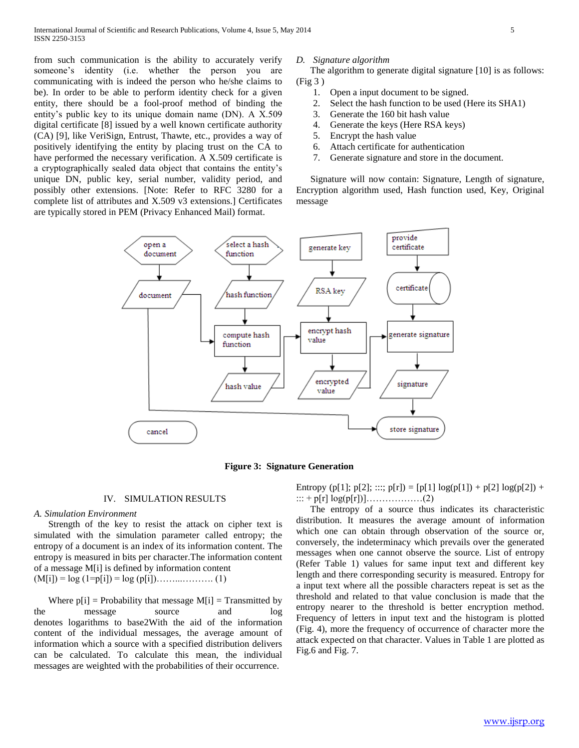from such communication is the ability to accurately verify someone's identity (i.e. whether the person you are communicating with is indeed the person who he/she claims to be). In order to be able to perform identity check for a given entity, there should be a fool-proof method of binding the entity's public key to its unique domain name (DN). A X.509 digital certificate [8] issued by a well known certificate authority (CA) [9], like VeriSign, Entrust, Thawte, etc., provides a way of positively identifying the entity by placing trust on the CA to have performed the necessary verification. A X.509 certificate is a cryptographically sealed data object that contains the entity's unique DN, public key, serial number, validity period, and possibly other extensions. [Note: Refer to RFC 3280 for a complete list of attributes and X.509 v3 extensions.] Certificates are typically stored in PEM (Privacy Enhanced Mail) format.

#### *D. Signature algorithm*

 The algorithm to generate digital signature [10] is as follows: (Fig 3 )

- 1. Open a input document to be signed.
- 2. Select the hash function to be used (Here its SHA1)
- 3. Generate the 160 bit hash value
- 4. Generate the keys (Here RSA keys)
- 5. Encrypt the hash value
- 6. Attach certificate for authentication
- 7. Generate signature and store in the document.

 Signature will now contain: Signature, Length of signature, Encryption algorithm used, Hash function used, Key, Original message



**Figure 3: Signature Generation**

#### IV. SIMULATION RESULTS

## *A. Simulation Environment*

 Strength of the key to resist the attack on cipher text is simulated with the simulation parameter called entropy; the entropy of a document is an index of its information content. The entropy is measured in bits per character.The information content of a message M[i] is defined by information content  $(M[i]) = log (1=p[i]) = log (p[i]) \dots (1)$ 

Where  $p[i]$  = Probability that message  $M[i]$  = Transmitted by the message source and log denotes logarithms to base2With the aid of the information content of the individual messages, the average amount of information which a source with a specified distribution delivers can be calculated. To calculate this mean, the individual messages are weighted with the probabilities of their occurrence.

Entropy (p[1]; p[2]; :::; p[r]) = [p[1]  $log(p[1]) + p[2] log(p[2]) +$ ::: + p[r] log(p[r])]………………(2)

 The entropy of a source thus indicates its characteristic distribution. It measures the average amount of information which one can obtain through observation of the source or, conversely, the indeterminacy which prevails over the generated messages when one cannot observe the source. List of entropy (Refer Table 1) values for same input text and different key length and there corresponding security is measured. Entropy for a input text where all the possible characters repeat is set as the threshold and related to that value conclusion is made that the entropy nearer to the threshold is better encryption method. Frequency of letters in input text and the histogram is plotted (Fig. 4), more the frequency of occurrence of character more the attack expected on that character. Values in Table 1 are plotted as Fig.6 and Fig. 7.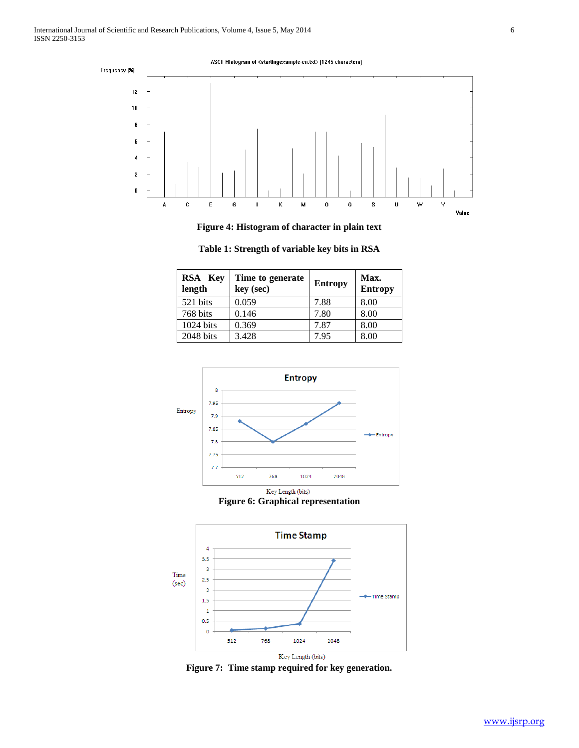

**Figure 4: Histogram of character in plain text**

| RSA Key<br>length | Time to generate<br>key (sec) | <b>Entropy</b> | Max.<br><b>Entropy</b> |
|-------------------|-------------------------------|----------------|------------------------|
| 521 bits          | 0.059                         | 7.88           | 8.00                   |
| 768 bits          | 0.146                         | 7.80           | 8.00                   |
| 1024 bits         | 0.369                         | 7.87           | 8.00                   |
| 2048 bits         | 3.428                         | 7.95           | 8.00                   |

**Table 1: Strength of variable key bits in RSA**







**Figure 7: Time stamp required for key generation.**